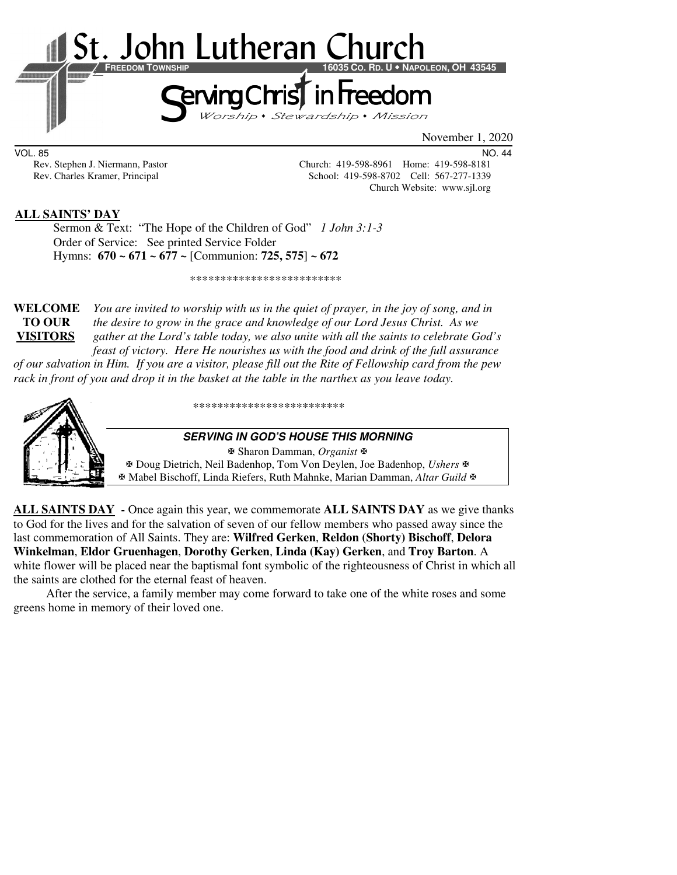

VOL. 85 NO. 44

Rev. Stephen J. Niermann, Pastor Church: 419-598-8961 Home: 419-598-8181<br>Rev. Charles Kramer, Principal School: 419-598-8702 Cell: 567-277-1339 School: 419-598-8702 Cell: 567-277-1339 Church Website: www.sjl.org

### **ALL SAINTS' DAY**

 Sermon & Text: "The Hope of the Children of God" *1 John 3:1-3* Order of Service: See printed Service Folder Hymns: **670 ~ 671 ~ 677 ~** [Communion: **725, 575**] **~ 672**

\*\*\*\*\*\*\*\*\*\*\*\*\*\*\*\*\*\*\*\*\*\*\*\*\*

**WELCOME** *You are invited to worship with us in the quiet of prayer, in the joy of song, and in* **TO OUR** *the desire to grow in the grace and knowledge of our Lord Jesus Christ. As we*  **VISITORS** *gather at the Lord's table today, we also unite with all the saints to celebrate God's feast of victory. Here He nourishes us with the food and drink of the full assurance* 

*of our salvation in Him. If you are a visitor, please fill out the Rite of Fellowship card from the pew rack in front of you and drop it in the basket at the table in the narthex as you leave today.* 



\*\*\*\*\*\*\*\*\*\*\*\*\*\*\*\*\*\*\*\*\*\*\*\*\*

#### **SERVING IN GOD'S HOUSE THIS MORNING**

 Sharon Damman, *Organist* Doug Dietrich, Neil Badenhop, Tom Von Deylen, Joe Badenhop, *Ushers* Mabel Bischoff, Linda Riefers, Ruth Mahnke, Marian Damman, *Altar Guild*

**ALL SAINTS DAY -** Once again this year, we commemorate **ALL SAINTS DAY** as we give thanks to God for the lives and for the salvation of seven of our fellow members who passed away since the last commemoration of All Saints. They are: **Wilfred Gerken**, **Reldon (Shorty) Bischoff**, **Delora Winkelman**, **Eldor Gruenhagen**, **Dorothy Gerken**, **Linda (Kay) Gerken**, and **Troy Barton**. A white flower will be placed near the baptismal font symbolic of the righteousness of Christ in which all the saints are clothed for the eternal feast of heaven.

 After the service, a family member may come forward to take one of the white roses and some greens home in memory of their loved one.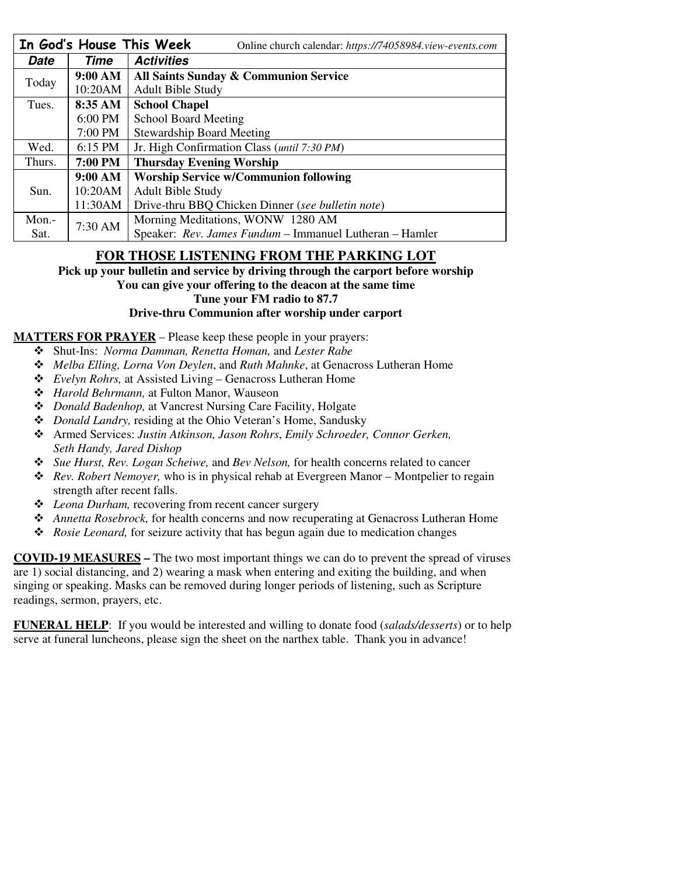|        |                | In God's House This Week<br>Online church calendar: https://74058984.view-events.com |  |  |
|--------|----------------|--------------------------------------------------------------------------------------|--|--|
| Date   | Time           | <b>Activities</b>                                                                    |  |  |
| Today  | 9:00 AM        | All Saints Sunday & Communion Service                                                |  |  |
|        | 10:20AM        | <b>Adult Bible Study</b>                                                             |  |  |
| Tues.  | 8:35 AM        | <b>School Chapel</b>                                                                 |  |  |
|        | 6:00 PM        | <b>School Board Meeting</b>                                                          |  |  |
|        | 7:00 PM        | <b>Stewardship Board Meeting</b>                                                     |  |  |
| Wed.   | $6:15$ PM      | Jr. High Confirmation Class ( <i>until 7:30 PM</i> )                                 |  |  |
| Thurs. | <b>7:00 PM</b> | <b>Thursday Evening Worship</b>                                                      |  |  |
|        | 9:00 AM        | <b>Worship Service w/Communion following</b>                                         |  |  |
| Sun.   | 10:20AM        | <b>Adult Bible Study</b>                                                             |  |  |
|        | 11:30AM        | Drive-thru BBQ Chicken Dinner (see bulletin note)                                    |  |  |
| Mon.-  | 7:30 AM        | Morning Meditations, WONW 1280 AM                                                    |  |  |
| Sat.   |                | Speaker: Rev. James Fundum - Immanuel Lutheran - Hamler                              |  |  |

## **FOR THOSE LISTENING FROM THE PARKING LOT**

**Pick up your bulletin and service by driving through the carport before worship** 

**You can give your offering to the deacon at the same time** 

**Tune your FM radio to 87.7** 

### **Drive-thru Communion after worship under carport**

### **MATTERS FOR PRAYER** – Please keep these people in your prayers:

- Shut-Ins: *Norma Damman, Renetta Homan,* and *Lester Rabe*
- *Melba Elling, Lorna Von Deylen*, and *Ruth Mahnke*, at Genacross Lutheran Home
- *Evelyn Rohrs,* at Assisted Living Genacross Lutheran Home
- *Harold Behrmann,* at Fulton Manor, Wauseon
- *Donald Badenhop,* at Vancrest Nursing Care Facility, Holgate
- *Donald Landry,* residing at the Ohio Veteran's Home, Sandusky
- Armed Services: *Justin Atkinson, Jason Rohrs*, *Emily Schroeder, Connor Gerken, Seth Handy, Jared Dishop*
- *Sue Hurst, Rev. Logan Scheiwe,* and *Bev Nelson,* for health concerns related to cancer
- *Rev. Robert Nemoyer,* who is in physical rehab at Evergreen Manor Montpelier to regain strength after recent falls.
- *Leona Durham,* recovering from recent cancer surgery
- *Annetta Rosebrock,* for health concerns and now recuperating at Genacross Lutheran Home
- *Rosie Leonard,* for seizure activity that has begun again due to medication changes

**COVID-19 MEASURES –** The two most important things we can do to prevent the spread of viruses are 1) social distancing, and 2) wearing a mask when entering and exiting the building, and when singing or speaking. Masks can be removed during longer periods of listening, such as Scripture readings, sermon, prayers, etc.

**FUNERAL HELP**: If you would be interested and willing to donate food (*salads/desserts*) or to help serve at funeral luncheons, please sign the sheet on the narthex table. Thank you in advance!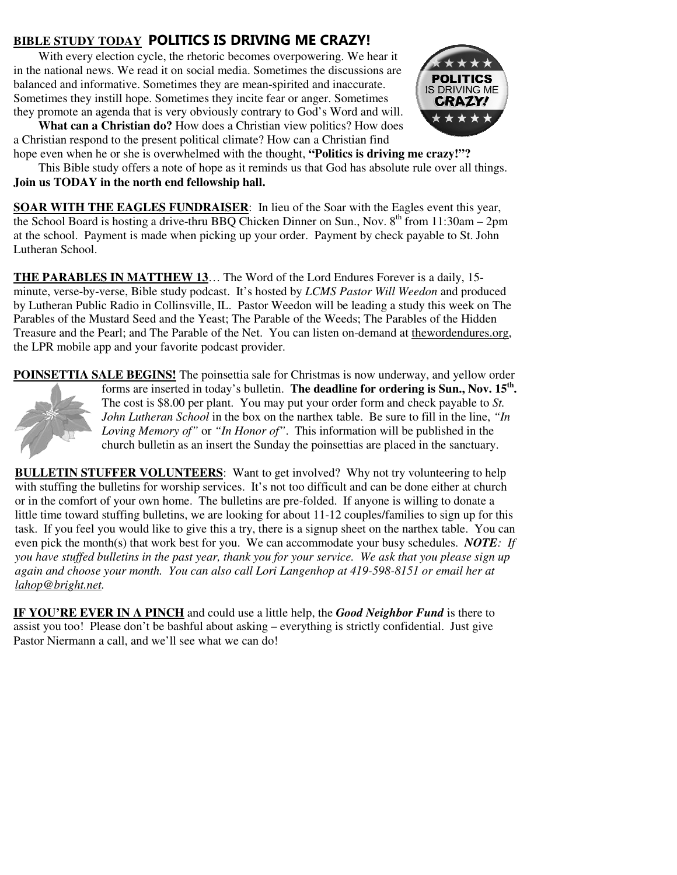# **BIBLE STUDY TODAY POLITICS IS DRIVING ME CRAZY!**

With every election cycle, the rhetoric becomes overpowering. We hear it in the national news. We read it on social media. Sometimes the discussions are balanced and informative. Sometimes they are mean-spirited and inaccurate. Sometimes they instill hope. Sometimes they incite fear or anger. Sometimes they promote an agenda that is very obviously contrary to God's Word and will.

**What can a Christian do?** How does a Christian view politics? How does a Christian respond to the present political climate? How can a Christian find



hope even when he or she is overwhelmed with the thought, **"Politics is driving me crazy!"?** This Bible study offers a note of hope as it reminds us that God has absolute rule over all things. **Join us TODAY in the north end fellowship hall.**

**SOAR WITH THE EAGLES FUNDRAISER:** In lieu of the Soar with the Eagles event this year, the School Board is hosting a drive-thru BBQ Chicken Dinner on Sun., Nov.  $8<sup>th</sup>$  from 11:30am – 2pm at the school. Payment is made when picking up your order. Payment by check payable to St. John Lutheran School.

**THE PARABLES IN MATTHEW 13**… The Word of the Lord Endures Forever is a daily, 15 minute, verse-by-verse, Bible study podcast. It's hosted by *LCMS Pastor Will Weedon* and produced by Lutheran Public Radio in Collinsville, IL. Pastor Weedon will be leading a study this week on The Parables of the Mustard Seed and the Yeast; The Parable of the Weeds; The Parables of the Hidden Treasure and the Pearl; and The Parable of the Net. You can listen on-demand at thewordendures.org, the LPR mobile app and your favorite podcast provider.

**POINSETTIA SALE BEGINS!** The poinsettia sale for Christmas is now underway, and yellow order forms are inserted in today's bulletin. **The deadline for ordering is Sun., Nov. 15th .** The cost is \$8.00 per plant. You may put your order form and check payable to *St. John Lutheran School* in the box on the narthex table. Be sure to fill in the line, *"In Loving Memory of"* or *"In Honor of"*. This information will be published in the church bulletin as an insert the Sunday the poinsettias are placed in the sanctuary.

**BULLETIN STUFFER VOLUNTEERS:** Want to get involved? Why not try volunteering to help with stuffing the bulletins for worship services. It's not too difficult and can be done either at church or in the comfort of your own home. The bulletins are pre-folded. If anyone is willing to donate a little time toward stuffing bulletins, we are looking for about 11-12 couples/families to sign up for this task. If you feel you would like to give this a try, there is a signup sheet on the narthex table. You can even pick the month(s) that work best for you. We can accommodate your busy schedules. *NOTE: If you have stuffed bulletins in the past year, thank you for your service. We ask that you please sign up again and choose your month. You can also call Lori Langenhop at 419-598-8151 or email her at lahop@bright.net.* 

**IF YOU'RE EVER IN A PINCH** and could use a little help, the *Good Neighbor Fund* is there to assist you too! Please don't be bashful about asking – everything is strictly confidential. Just give Pastor Niermann a call, and we'll see what we can do!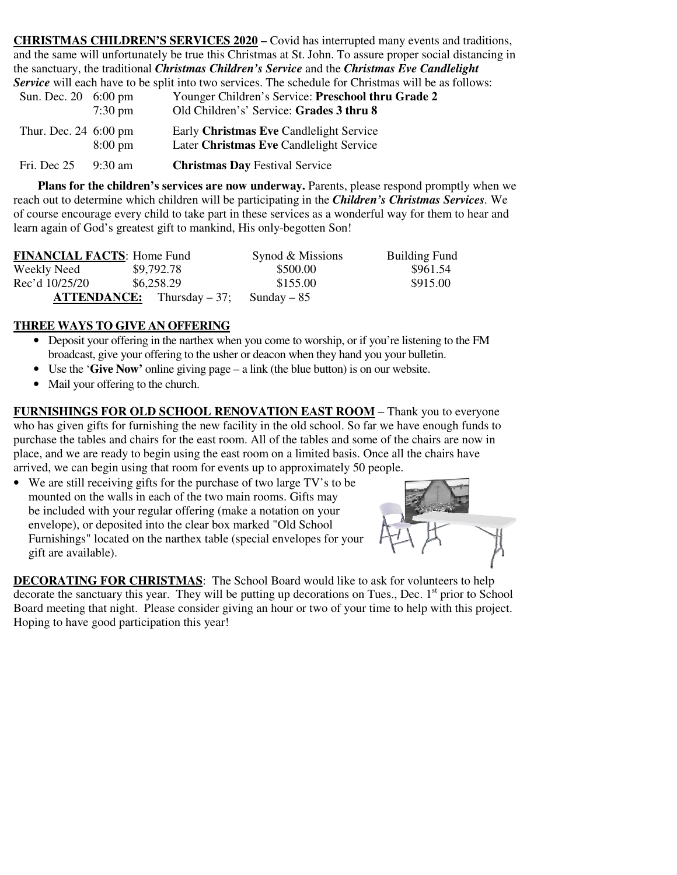**CHRISTMAS CHILDREN'S SERVICES 2020 –** Covid has interrupted many events and traditions, and the same will unfortunately be true this Christmas at St. John. To assure proper social distancing in the sanctuary, the traditional *Christmas Children's Service* and the *Christmas Eve Candlelight Service* will each have to be split into two services. The schedule for Christmas will be as follows:<br>Suppose Children's Service: **Pressheel thru Crode 2** 

| Sun. Dec. 20 6:00 pm  | $7:30 \text{ pm}$ | Younger Children's Service: Preschool thru Grade 2<br>Old Children's' Service: Grades 3 thru 8 |
|-----------------------|-------------------|------------------------------------------------------------------------------------------------|
| Thur. Dec. 24 6:00 pm | $8:00 \text{ pm}$ | Early Christmas Eve Candlelight Service<br>Later Christmas Eve Candlelight Service             |
| Fri. Dec 25           | $9:30 \text{ am}$ | <b>Christmas Dav</b> Festival Service                                                          |

 **Plans for the children's services are now underway.** Parents, please respond promptly when we reach out to determine which children will be participating in the *Children's Christmas Services.* We of course encourage every child to take part in these services as a wonderful way for them to hear and learn again of God's greatest gift to mankind, His only-begotten Son!

| <b>FINANCIAL FACTS: Home Fund</b> |                                       | Synod & Missions | <b>Building Fund</b> |
|-----------------------------------|---------------------------------------|------------------|----------------------|
| Weekly Need                       | \$9,792.78                            | \$500.00         | \$961.54             |
| Rec'd 10/25/20                    | \$6,258.29                            | \$155.00         | \$915.00             |
|                                   | $\textbf{ATTENDANCE:}$ Thursday – 37; | Sunday $-85$     |                      |

## **THREE WAYS TO GIVE AN OFFERING**

- Deposit your offering in the narthex when you come to worship, or if you're listening to the FM broadcast, give your offering to the usher or deacon when they hand you your bulletin.
- Use the '**Give Now'** online giving page a link (the blue button) is on our website.
- Mail your offering to the church.

**FURNISHINGS FOR OLD SCHOOL RENOVATION EAST ROOM** – Thank you to everyone who has given gifts for furnishing the new facility in the old school. So far we have enough funds to purchase the tables and chairs for the east room. All of the tables and some of the chairs are now in place, and we are ready to begin using the east room on a limited basis. Once all the chairs have arrived, we can begin using that room for events up to approximately 50 people.

• We are still receiving gifts for the purchase of two large TV's to be mounted on the walls in each of the two main rooms. Gifts may be included with your regular offering (make a notation on your envelope), or deposited into the clear box marked "Old School Furnishings" located on the narthex table (special envelopes for your gift are available).



**DECORATING FOR CHRISTMAS**: The School Board would like to ask for volunteers to help decorate the sanctuary this year. They will be putting up decorations on Tues., Dec.  $1<sup>st</sup>$  prior to School Board meeting that night. Please consider giving an hour or two of your time to help with this project. Hoping to have good participation this year!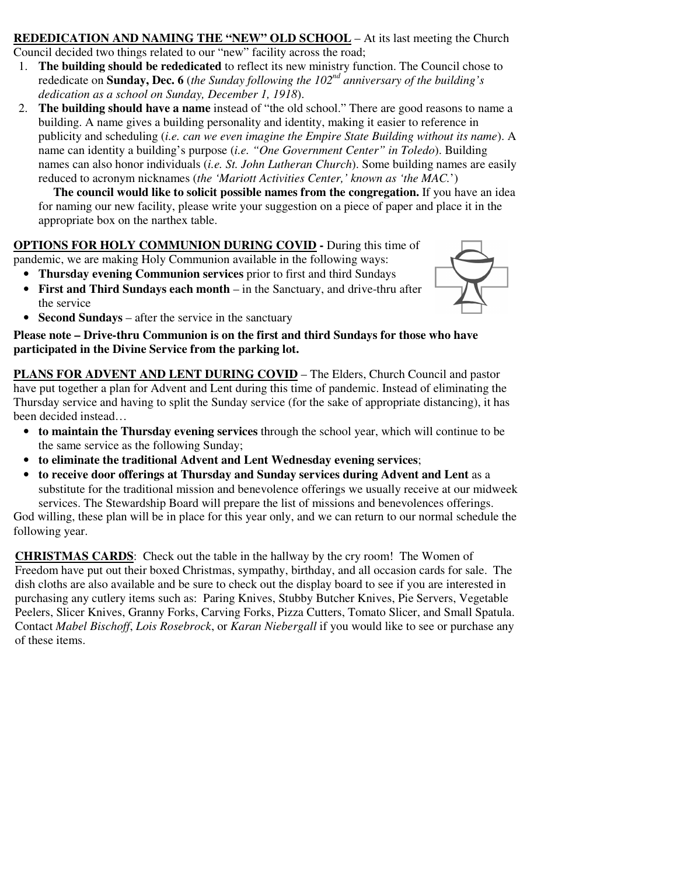#### **REDEDICATION AND NAMING THE "NEW" OLD SCHOOL** – At its last meeting the Church Council decided two things related to our "new" facility across the road;

- 1. **The building should be rededicated** to reflect its new ministry function. The Council chose to rededicate on **Sunday, Dec. 6** (*the Sunday following the 102nd anniversary of the building's dedication as a school on Sunday, December 1, 1918*).
- 2. **The building should have a name** instead of "the old school." There are good reasons to name a building. A name gives a building personality and identity, making it easier to reference in publicity and scheduling (*i.e. can we even imagine the Empire State Building without its name*). A name can identity a building's purpose (*i.e. "One Government Center" in Toledo*). Building names can also honor individuals (*i.e. St. John Lutheran Church*). Some building names are easily reduced to acronym nicknames (*the 'Mariott Activities Center,' known as 'the MAC.*')

**The council would like to solicit possible names from the congregation.** If you have an idea for naming our new facility, please write your suggestion on a piece of paper and place it in the appropriate box on the narthex table.

### **OPTIONS FOR HOLY COMMUNION DURING COVID -** During this time of pandemic, we are making Holy Communion available in the following ways:

• **Thursday evening Communion services** prior to first and third Sundays

• **First and Third Sundays each month** – in the Sanctuary, and drive-thru after the service



• **Second Sundays** – after the service in the sanctuary

**Please note – Drive-thru Communion is on the first and third Sundays for those who have participated in the Divine Service from the parking lot.** 

**PLANS FOR ADVENT AND LENT DURING COVID** – The Elders, Church Council and pastor have put together a plan for Advent and Lent during this time of pandemic. Instead of eliminating the Thursday service and having to split the Sunday service (for the sake of appropriate distancing), it has been decided instead…

- **to maintain the Thursday evening services** through the school year, which will continue to be the same service as the following Sunday;
- **to eliminate the traditional Advent and Lent Wednesday evening services**;
- **to receive door offerings at Thursday and Sunday services during Advent and Lent** as a substitute for the traditional mission and benevolence offerings we usually receive at our midweek services. The Stewardship Board will prepare the list of missions and benevolences offerings.

God willing, these plan will be in place for this year only, and we can return to our normal schedule the following year.

**CHRISTMAS CARDS**: Check out the table in the hallway by the cry room! The Women of Freedom have put out their boxed Christmas, sympathy, birthday, and all occasion cards for sale. The dish cloths are also available and be sure to check out the display board to see if you are interested in purchasing any cutlery items such as: Paring Knives, Stubby Butcher Knives, Pie Servers, Vegetable Peelers, Slicer Knives, Granny Forks, Carving Forks, Pizza Cutters, Tomato Slicer, and Small Spatula. Contact *Mabel Bischoff*, *Lois Rosebrock*, or *Karan Niebergall* if you would like to see or purchase any of these items.